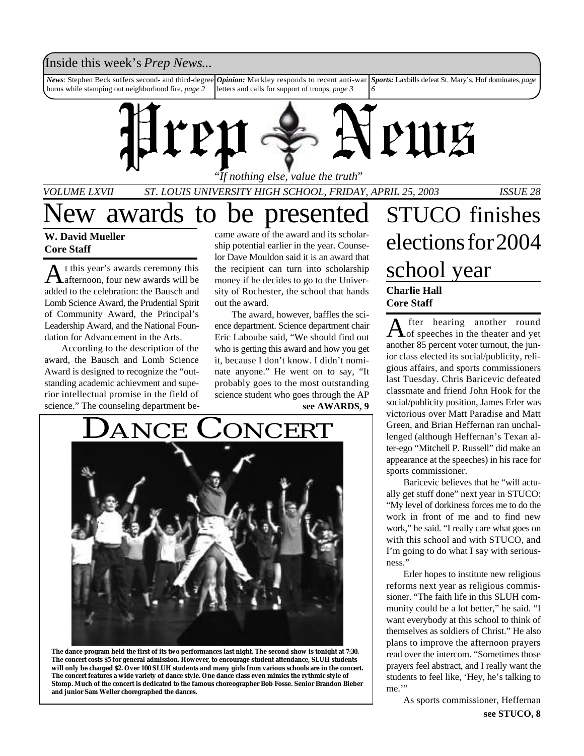### Inside this week's *Prep News*...

*News*: Stephen Beck suffers second- and third-degree burns while stamping out neighborhood fire, *page 2 Opinion:* Merkley responds to recent anti-war letters and calls for support of troops, *page 3 Sports:* Laxbills defeat St. Mary's, Hof dominates, *page 6*



"*If nothing else, value the truth*"

*VOLUME LXVII ST. LOUIS UNIVERSITY HIGH SCHOOL, FRIDAY, APRIL 25, 2003 ISSUE 28*

### **W. David Mueller Core Staff**

A t this year's awards ceremony this<br>afternoon, four new awards will be t this year's awards ceremony this added to the celebration: the Bausch and Lomb Science Award, the Prudential Spirit of Community Award, the Principal's Leadership Award, and the National Foundation for Advancement in the Arts.

According to the description of the award, the Bausch and Lomb Science Award is designed to recognize the "outstanding academic achievment and superior intellectual promise in the field of science." The counseling department became aware of the award and its scholarship potential earlier in the year. Counselor Dave Mouldon said it is an award that the recipient can turn into scholarship money if he decides to go to the University of Rochester, the school that hands out the award.

The award, however, baffles the science department. Science department chair Eric Laboube said, "We should find out who is getting this award and how you get it, because I don't know. I didn't nominate anyone." He went on to say, "It probably goes to the most outstanding science student who goes through the AP **see AWARDS, 9**





## ew awards to be presented STUCO finishes elections for 2004 school year **Charlie Hall Core Staff**

A fter hearing another round<br>of speeches in the theater and yet fter hearing another round another 85 percent voter turnout, the junior class elected its social/publicity, religious affairs, and sports commissioners last Tuesday. Chris Baricevic defeated classmate and friend John Hook for the social/publicity position, James Erler was victorious over Matt Paradise and Matt Green, and Brian Heffernan ran unchallenged (although Heffernan's Texan alter-ego "Mitchell P. Russell" did make an appearance at the speeches) in his race for sports commissioner.

Baricevic believes that he "will actually get stuff done" next year in STUCO: "My level of dorkiness forces me to do the work in front of me and to find new work," he said. "I really care what goes on with this school and with STUCO, and I'm going to do what I say with seriousness."

Erler hopes to institute new religious reforms next year as religious commissioner. "The faith life in this SLUH community could be a lot better," he said. "I want everybody at this school to think of themselves as soldiers of Christ." He also plans to improve the afternoon prayers read over the intercom. "Sometimes those prayers feel abstract, and I really want the students to feel like, 'Hey, he's talking to me."

> As sports commissioner, Heffernan **see STUCO, 8**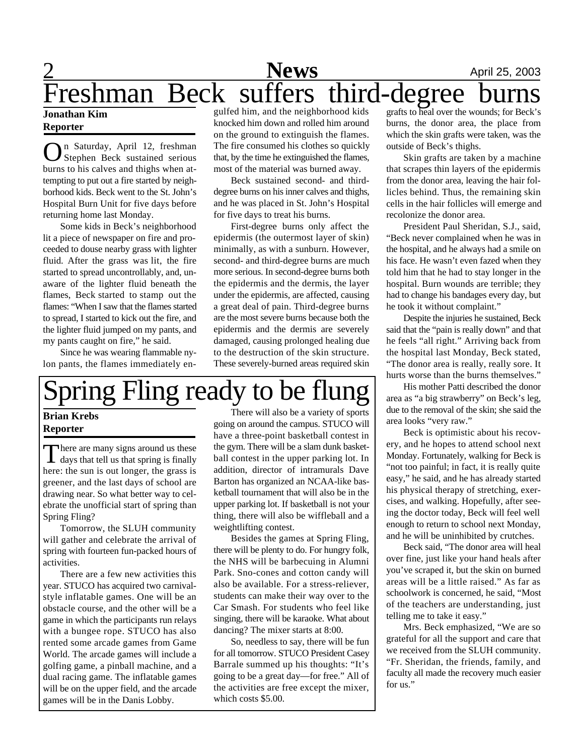# **2** April 25, 2003 Freshman Beck suffers third-degree

### **Jonathan Kim Reporter**

O n Saturday, April 12, freshman Stephen Beck sustained serious burns to his calves and thighs when attempting to put out a fire started by neighborhood kids. Beck went to the St. John's Hospital Burn Unit for five days before returning home last Monday.

Some kids in Beck's neighborhood lit a piece of newspaper on fire and proceeded to douse nearby grass with lighter fluid. After the grass was lit, the fire started to spread uncontrollably, and, unaware of the lighter fluid beneath the flames, Beck started to stamp out the flames: "When I saw that the flames started to spread, I started to kick out the fire, and the lighter fluid jumped on my pants, and my pants caught on fire," he said.

Since he was wearing flammable nylon pants, the flames immediately en-

gulfed him, and the neighborhood kids knocked him down and rolled him around on the ground to extinguish the flames. The fire consumed his clothes so quickly that, by the time he extinguished the flames, most of the material was burned away.

Beck sustained second- and thirddegree burns on his inner calves and thighs, and he was placed in St. John's Hospital for five days to treat his burns.

First-degree burns only affect the epidermis (the outermost layer of skin) minimally, as with a sunburn. However, second- and third-degree burns are much more serious. In second-degree burns both the epidermis and the dermis, the layer under the epidermis, are affected, causing a great deal of pain. Third-degree burns are the most severe burns because both the epidermis and the dermis are severely damaged, causing prolonged healing due to the destruction of the skin structure. These severely-burned areas required skin

# Spring Fling ready to be flui

### **Brian Krebs Reporter**

There are many signs around us these<br>days that tell us that spring is finally **There are many signs around us these** here: the sun is out longer, the grass is greener, and the last days of school are drawing near. So what better way to celebrate the unofficial start of spring than Spring Fling?

Tomorrow, the SLUH community will gather and celebrate the arrival of spring with fourteen fun-packed hours of activities.

There are a few new activities this year. STUCO has acquired two carnivalstyle inflatable games. One will be an obstacle course, and the other will be a game in which the participants run relays with a bungee rope. STUCO has also rented some arcade games from Game World. The arcade games will include a golfing game, a pinball machine, and a dual racing game. The inflatable games will be on the upper field, and the arcade games will be in the Danis Lobby.

There will also be a variety of sports going on around the campus. STUCO will have a three-point basketball contest in the gym. There will be a slam dunk basketball contest in the upper parking lot. In addition, director of intramurals Dave Barton has organized an NCAA-like basketball tournament that will also be in the upper parking lot. If basketball is not your thing, there will also be wiffleball and a weightlifting contest.

Besides the games at Spring Fling, there will be plenty to do. For hungry folk, the NHS will be barbecuing in Alumni Park. Sno-cones and cotton candy will also be available. For a stress-reliever, students can make their way over to the Car Smash. For students who feel like singing, there will be karaoke. What about dancing? The mixer starts at 8:00.

So, needless to say, there will be fun for all tomorrow. STUCO President Casey Barrale summed up his thoughts: "It's going to be a great day—for free." All of the activities are free except the mixer, which costs \$5.00.

grafts to heal over the wounds; for Beck's burns, the donor area, the place from which the skin grafts were taken, was the outside of Beck's thighs.

Skin grafts are taken by a machine that scrapes thin layers of the epidermis from the donor area, leaving the hair follicles behind. Thus, the remaining skin cells in the hair follicles will emerge and recolonize the donor area.

President Paul Sheridan, S.J., said, "Beck never complained when he was in the hospital, and he always had a smile on his face. He wasn't even fazed when they told him that he had to stay longer in the hospital. Burn wounds are terrible; they had to change his bandages every day, but he took it without complaint."

Despite the injuries he sustained, Beck said that the "pain is really down" and that he feels "all right." Arriving back from the hospital last Monday, Beck stated, "The donor area is really, really sore. It hurts worse than the burns themselves."

His mother Patti described the donor area as "a big strawberry" on Beck's leg, due to the removal of the skin; she said the area looks "very raw."

Beck is optimistic about his recovery, and he hopes to attend school next Monday. Fortunately, walking for Beck is "not too painful; in fact, it is really quite easy," he said, and he has already started his physical therapy of stretching, exercises, and walking. Hopefully, after seeing the doctor today, Beck will feel well enough to return to school next Monday, and he will be uninhibited by crutches.

Beck said, "The donor area will heal over fine, just like your hand heals after you've scraped it, but the skin on burned areas will be a little raised." As far as schoolwork is concerned, he said, "Most of the teachers are understanding, just telling me to take it easy."

Mrs. Beck emphasized, "We are so grateful for all the support and care that we received from the SLUH community. "Fr. Sheridan, the friends, family, and faculty all made the recovery much easier for us."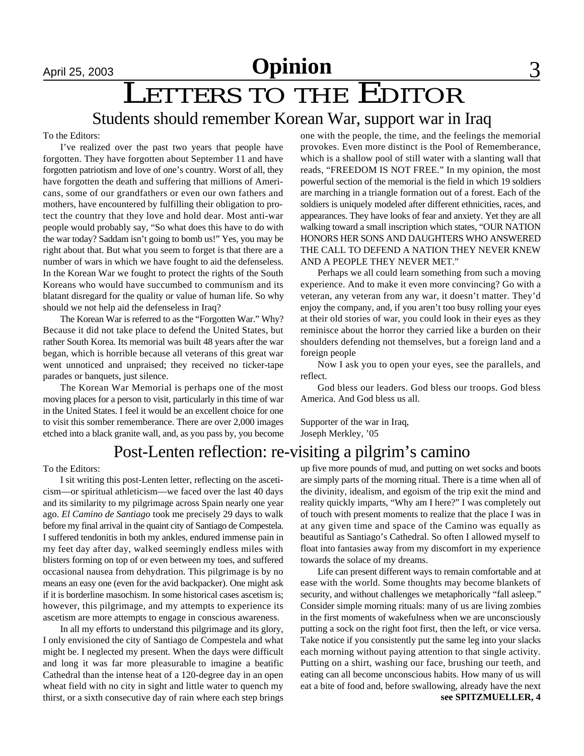# LETTERS TO THE EDITOR

### Students should remember Korean War, support war in Iraq

To the Editors:

I've realized over the past two years that people have forgotten. They have forgotten about September 11 and have forgotten patriotism and love of one's country. Worst of all, they have forgotten the death and suffering that millions of Americans, some of our grandfathers or even our own fathers and mothers, have encountered by fulfilling their obligation to protect the country that they love and hold dear. Most anti-war people would probably say, "So what does this have to do with the war today? Saddam isn't going to bomb us!" Yes, you may be right about that. But what you seem to forget is that there are a number of wars in which we have fought to aid the defenseless. In the Korean War we fought to protect the rights of the South Koreans who would have succumbed to communism and its blatant disregard for the quality or value of human life. So why should we not help aid the defenseless in Iraq?

The Korean War is referred to as the "Forgotten War." Why? Because it did not take place to defend the United States, but rather South Korea. Its memorial was built 48 years after the war began, which is horrible because all veterans of this great war went unnoticed and unpraised; they received no ticker-tape parades or banquets, just silence.

The Korean War Memorial is perhaps one of the most moving places for a person to visit, particularly in this time of war in the United States. I feel it would be an excellent choice for one to visit this somber rememberance. There are over 2,000 images etched into a black granite wall, and, as you pass by, you become one with the people, the time, and the feelings the memorial provokes. Even more distinct is the Pool of Rememberance, which is a shallow pool of still water with a slanting wall that reads, "FREEDOM IS NOT FREE." In my opinion, the most powerful section of the memorial is the field in which 19 soldiers are marching in a triangle formation out of a forest. Each of the soldiers is uniquely modeled after different ethnicities, races, and appearances. They have looks of fear and anxiety. Yet they are all walking toward a small inscription which states, "OUR NATION HONORS HER SONS AND DAUGHTERS WHO ANSWERED THE CALL TO DEFEND A NATION THEY NEVER KNEW AND A PEOPLE THEY NEVER MET."

Perhaps we all could learn something from such a moving experience. And to make it even more convincing? Go with a veteran, any veteran from any war, it doesn't matter. They'd enjoy the company, and, if you aren't too busy rolling your eyes at their old stories of war, you could look in their eyes as they reminisce about the horror they carried like a burden on their shoulders defending not themselves, but a foreign land and a foreign people

Now I ask you to open your eyes, see the parallels, and reflect.

God bless our leaders. God bless our troops. God bless America. And God bless us all.

Supporter of the war in Iraq, Joseph Merkley, '05

### Post-Lenten reflection: re-visiting a pilgrim's camino

To the Editors:

I sit writing this post-Lenten letter, reflecting on the asceticism—or spiritual athleticism—we faced over the last 40 days and its similarity to my pilgrimage across Spain nearly one year ago. *El Camino de Santiago* took me precisely 29 days to walk before my final arrival in the quaint city of Santiago de Compestela. I suffered tendonitis in both my ankles, endured immense pain in my feet day after day, walked seemingly endless miles with blisters forming on top of or even between my toes, and suffered occasional nausea from dehydration. This pilgrimage is by no means an easy one (even for the avid backpacker). One might ask if it is borderline masochism. In some historical cases ascetism is; however, this pilgrimage, and my attempts to experience its ascetism are more attempts to engage in conscious awareness.

In all my efforts to understand this pilgrimage and its glory, I only envisioned the city of Santiago de Compestela and what might be. I neglected my present. When the days were difficult and long it was far more pleasurable to imagine a beatific Cathedral than the intense heat of a 120-degree day in an open wheat field with no city in sight and little water to quench my thirst, or a sixth consecutive day of rain where each step brings up five more pounds of mud, and putting on wet socks and boots are simply parts of the morning ritual. There is a time when all of the divinity, idealism, and egoism of the trip exit the mind and reality quickly imparts, "Why am I here?" I was completely out of touch with present moments to realize that the place I was in at any given time and space of the Camino was equally as beautiful as Santiago's Cathedral. So often I allowed myself to float into fantasies away from my discomfort in my experience towards the solace of my dreams.

Life can present different ways to remain comfortable and at ease with the world. Some thoughts may become blankets of security, and without challenges we metaphorically "fall asleep." Consider simple morning rituals: many of us are living zombies in the first moments of wakefulness when we are unconsciously putting a sock on the right foot first, then the left, or vice versa. Take notice if you consistently put the same leg into your slacks each morning without paying attention to that single activity. Putting on a shirt, washing our face, brushing our teeth, and eating can all become unconscious habits. How many of us will eat a bite of food and, before swallowing, already have the next **see SPITZMUELLER, 4**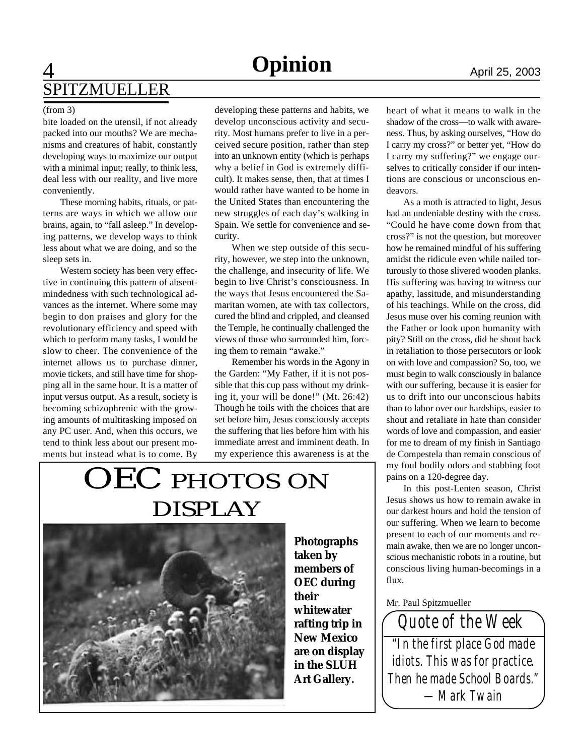## **A Opinion** April 25, 2003 SPITZMUELLER

bite loaded on the utensil, if not already packed into our mouths? We are mechanisms and creatures of habit, constantly developing ways to maximize our output with a minimal input; really, to think less, deal less with our reality, and live more conveniently.

These morning habits, rituals, or patterns are ways in which we allow our brains, again, to "fall asleep." In developing patterns, we develop ways to think less about what we are doing, and so the sleep sets in.

Western society has been very effective in continuing this pattern of absentmindedness with such technological advances as the internet. Where some may begin to don praises and glory for the revolutionary efficiency and speed with which to perform many tasks, I would be slow to cheer. The convenience of the internet allows us to purchase dinner, movie tickets, and still have time for shopping all in the same hour. It is a matter of input versus output. As a result, society is becoming schizophrenic with the growing amounts of multitasking imposed on any PC user. And, when this occurs, we tend to think less about our present moments but instead what is to come. By

(from 3) developing these patterns and habits, we develop unconscious activity and security. Most humans prefer to live in a perceived secure position, rather than step into an unknown entity (which is perhaps why a belief in God is extremely difficult). It makes sense, then, that at times I would rather have wanted to be home in the United States than encountering the new struggles of each day's walking in Spain. We settle for convenience and security.

> When we step outside of this security, however, we step into the unknown, the challenge, and insecurity of life. We begin to live Christ's consciousness. In the ways that Jesus encountered the Samaritan women, ate with tax collectors, cured the blind and crippled, and cleansed the Temple, he continually challenged the views of those who surrounded him, forcing them to remain "awake."

> Remember his words in the Agony in the Garden: "My Father, if it is not possible that this cup pass without my drinking it, your will be done!" (Mt. 26:42) Though he toils with the choices that are set before him, Jesus consciously accepts the suffering that lies before him with his immediate arrest and imminent death. In my experience this awareness is at the

# OEC PHOTOS ON DISPLAY



**Photographs taken by members of OEC during their whitewater rafting trip in New Mexico are on display in the SLUH Art Gallery.**

heart of what it means to walk in the shadow of the cross—to walk with awareness. Thus, by asking ourselves, "How do I carry my cross?" or better yet, "How do I carry my suffering?" we engage ourselves to critically consider if our intentions are conscious or unconscious endeavors.

As a moth is attracted to light, Jesus had an undeniable destiny with the cross. "Could he have come down from that cross?" is not the question, but moreover how he remained mindful of his suffering amidst the ridicule even while nailed torturously to those slivered wooden planks. His suffering was having to witness our apathy, lassitude, and misunderstanding of his teachings. While on the cross, did Jesus muse over his coming reunion with the Father or look upon humanity with pity? Still on the cross, did he shout back in retaliation to those persecutors or look on with love and compassion? So, too, we must begin to walk consciously in balance with our suffering, because it is easier for us to drift into our unconscious habits than to labor over our hardships, easier to shout and retaliate in hate than consider words of love and compassion, and easier for me to dream of my finish in Santiago de Compestela than remain conscious of my foul bodily odors and stabbing foot pains on a 120-degree day.

In this post-Lenten season, Christ Jesus shows us how to remain awake in our darkest hours and hold the tension of our suffering. When we learn to become present to each of our moments and remain awake, then we are no longer unconscious mechanistic robots in a routine, but conscious living human-becomings in a flux.

#### Mr. Paul Spitzmueller

*"In the first place God made idiots. This was for practice. Then he made School Boards." —Mark Twain Quote of the Week*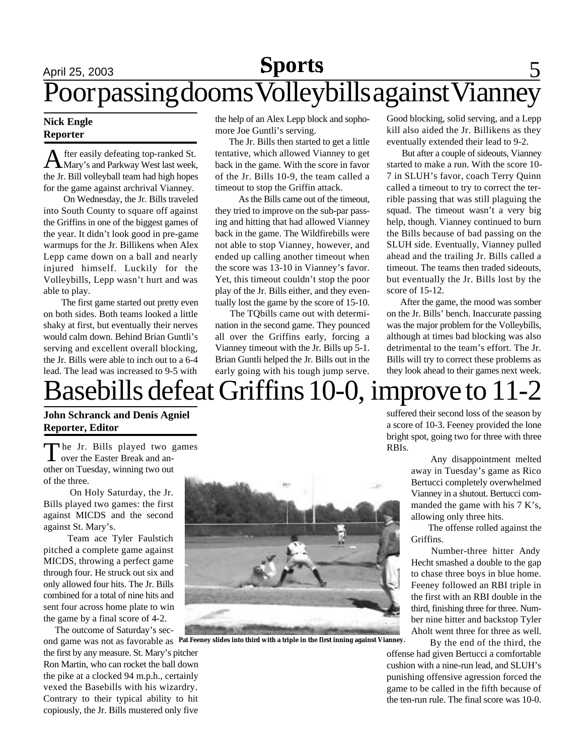# April 25, 2003 **Sports** 5 Poor passing dooms Volleybills against Vianney

### **Nick Engle Reporter**

A fter easily defeating top-ranked St.<br>Mary's and Parkway West last week, fter easily defeating top-ranked St. the Jr. Bill volleyball team had high hopes for the game against archrival Vianney.

On Wednesday, the Jr. Bills traveled into South County to square off against the Griffins in one of the biggest games of the year. It didn't look good in pre-game warmups for the Jr. Billikens when Alex Lepp came down on a ball and nearly injured himself. Luckily for the Volleybills, Lepp wasn't hurt and was able to play.

 The first game started out pretty even on both sides. Both teams looked a little shaky at first, but eventually their nerves would calm down. Behind Brian Guntli's serving and excellent overall blocking, the Jr. Bills were able to inch out to a 6-4 lead. The lead was increased to 9-5 with

the help of an Alex Lepp block and sophomore Joe Guntli's serving.

 The Jr. Bills then started to get a little tentative, which allowed Vianney to get back in the game. With the score in favor of the Jr. Bills 10-9, the team called a timeout to stop the Griffin attack.

 As the Bills came out of the timeout, they tried to improve on the sub-par passing and hitting that had allowed Vianney back in the game. The Wildfirebills were not able to stop Vianney, however, and ended up calling another timeout when the score was 13-10 in Vianney's favor. Yet, this timeout couldn't stop the poor play of the Jr. Bills either, and they eventually lost the game by the score of 15-10.

 The TQbills came out with determination in the second game. They pounced all over the Griffins early, forcing a Vianney timeout with the Jr. Bills up 5-1. Brian Guntli helped the Jr. Bills out in the early going with his tough jump serve.

Good blocking, solid serving, and a Lepp kill also aided the Jr. Billikens as they eventually extended their lead to 9-2.

 But after a couple of sideouts, Vianney started to make a run. With the score 10- 7 in SLUH's favor, coach Terry Quinn called a timeout to try to correct the terrible passing that was still plaguing the squad. The timeout wasn't a very big help, though. Vianney continued to burn the Bills because of bad passing on the SLUH side. Eventually, Vianney pulled ahead and the trailing Jr. Bills called a timeout. The teams then traded sideouts, but eventually the Jr. Bills lost by the score of 15-12.

 After the game, the mood was somber on the Jr. Bills' bench. Inaccurate passing was the major problem for the Volleybills, although at times bad blocking was also detrimental to the team's effort. The Jr. Bills will try to correct these problems as they look ahead to their games next week.

# Basebills defeat Griffins 10-0, improve to 11-2

**John Schranck and Denis Agniel Reporter, Editor**

The Jr. Bills played two g over the Easter Break and anhe Jr. Bills played two games other on Tuesday, winning two out of the three.

 On Holy Saturday, the Jr. Bills played two games: the first against MICDS and the second against St. Mary's.

Team ace Tyler Faulstich pitched a complete game against MICDS, throwing a perfect game through four. He struck out six and only allowed four hits. The Jr. Bills combined for a total of nine hits and sent four across home plate to win the game by a final score of 4-2.

The outcome of Saturday's sec-

the first by any measure. St. Mary's pitcher Ron Martin, who can rocket the ball down the pike at a clocked 94 m.p.h., certainly vexed the Basebills with his wizardry. Contrary to their typical ability to hit copiously, the Jr. Bills mustered only five



ond game was not as favorable as **Pat Feeney slides into third with a triple in the first inning against Vianney.**

suffered their second loss of the season by a score of 10-3. Feeney provided the lone bright spot, going two for three with three RBIs.

> Any disappointment melted away in Tuesday's game as Rico Bertucci completely overwhelmed Vianney in a shutout. Bertucci commanded the game with his 7 K's, allowing only three hits.

> The offense rolled against the Griffins.

> Number-three hitter Andy Hecht smashed a double to the gap to chase three boys in blue home. Feeney followed an RBI triple in the first with an RBI double in the third, finishing three for three. Number nine hitter and backstop Tyler Aholt went three for three as well.

By the end of the third, the

offense had given Bertucci a comfortable cushion with a nine-run lead, and SLUH's punishing offensive agression forced the game to be called in the fifth because of the ten-run rule. The final score was 10-0.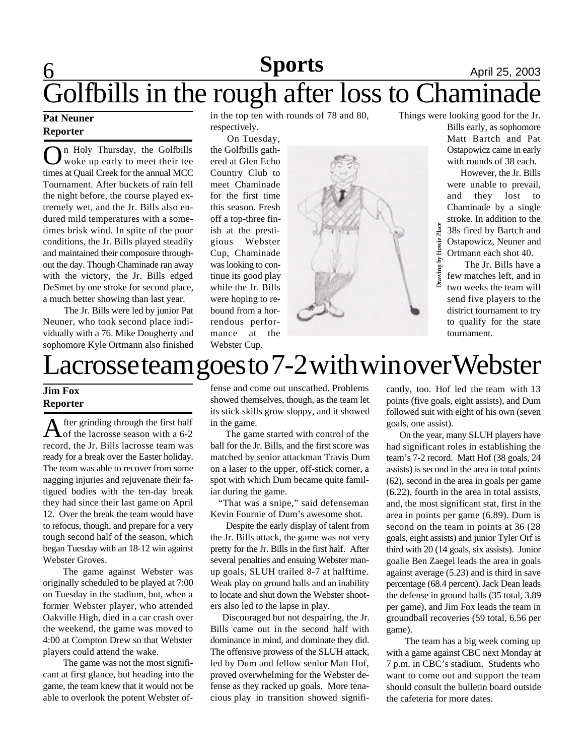### **6 News April 25, 2003** Golfbills in the rough after loss to Chaminade **Sports**

### **Pat Neuner Reporter**

**O** *n* Holy Thursday, the Golfbills<br>woke up early to meet their tee<br>times at Quail Creek for the annual MCC n Holy Thursday, the Golfbills woke up early to meet their tee Tournament. After buckets of rain fell the night before, the course played extremely wet, and the Jr. Bills also endured mild temperatures with a sometimes brisk wind. In spite of the poor conditions, the Jr. Bills played steadily and maintained their composure throughout the day. Though Chaminade ran away with the victory, the Jr. Bills edged DeSmet by one stroke for second place, a much better showing than last year.

The Jr. Bills were led by junior Pat Neuner, who took second place individually with a 76. Mike Dougherty and sophomore Kyle Ortmann also finished in the top ten with rounds of 78 and 80, respectively.

 On Tuesday, the Golfbills gathered at Glen Echo Country Club to meet Chaminade for the first time this season. Fresh off a top-three finish at the prestigious Webster Cup, Chaminade was looking to continue its good play while the Jr. Bills were hoping to rebound from a horrendous performance at the Webster Cup.



 Things were looking good for the Jr. Bills early, as sophomore Matt Bartch and Pat Ostapowicz came in early with rounds of 38 each.

> However, the Jr. Bills were unable to prevail, and they lost to Chaminade by a single stroke. In addition to the 38s fired by Bartch and Ostapowicz, Neuner and Ortmann each shot 40.

 The Jr. Bills have a few matches left, and in two weeks the team will send five players to the district tournament to try to qualify for the state tournament.

# acrosse team goes to 7-2 with win over Webster

### **Jim Fox Reporter**

A fter grinding through the first half of the lacrosse season with a 6-2 record, the Jr. Bills lacrosse team was ready for a break over the Easter holiday. The team was able to recover from some nagging injuries and rejuvenate their fatigued bodies with the ten-day break they had since their last game on April 12. Over the break the team would have to refocus, though, and prepare for a very tough second half of the season, which began Tuesday with an 18-12 win against Webster Groves.

The game against Webster was originally scheduled to be played at 7:00 on Tuesday in the stadium, but, when a former Webster player, who attended Oakville High, died in a car crash over the weekend, the game was moved to 4:00 at Compton Drew so that Webster players could attend the wake.

 The game was not the most significant at first glance, but heading into the game, the team knew that it would not be able to overlook the potent Webster offense and come out unscathed. Problems showed themselves, though, as the team let its stick skills grow sloppy, and it showed in the game.

 The game started with control of the ball for the Jr. Bills, and the first score was matched by senior attackman Travis Dum on a laser to the upper, off-stick corner, a spot with which Dum became quite familiar during the game.

 "That was a snipe," said defenseman Kevin Fournie of Dum's awesome shot.

 Despite the early display of talent from the Jr. Bills attack, the game was not very pretty for the Jr. Bills in the first half. After several penalties and ensuing Webster manup goals, SLUH trailed 8-7 at halftime. Weak play on ground balls and an inability to locate and shut down the Webster shooters also led to the lapse in play.

 Discouraged but not despairing, the Jr. Bills came out in the second half with dominance in mind, and dominate they did. The offensive prowess of the SLUH attack, led by Dum and fellow senior Matt Hof, proved overwhelming for the Webster defense as they racked up goals. More tenacious play in transition showed significantly, too. Hof led the team with 13 points (five goals, eight assists), and Dum followed suit with eight of his own (seven goals, one assist).

Drawing by Howie Place

 On the year, many SLUH players have had significant roles in establishing the team's 7-2 record. Matt Hof (38 goals, 24 assists) is second in the area in total points (62), second in the area in goals per game (6.22), fourth in the area in total assists, and, the most significant stat, first in the area in points per game (6.89). Dum is second on the team in points at 36 (28 goals, eight assists) and junior Tyler Orf is third with 20 (14 goals, six assists). Junior goalie Ben Zaegel leads the area in goals against average (5.23) and is third in save percentage (68.4 percent). Jack Dean leads the defense in ground balls (35 total, 3.89 per game), and Jim Fox leads the team in groundball recoveries (59 total, 6.56 per game).

 The team has a big week coming up with a game against CBC next Monday at 7 p.m. in CBC's stadium. Students who want to come out and support the team should consult the bulletin board outside the cafeteria for more dates.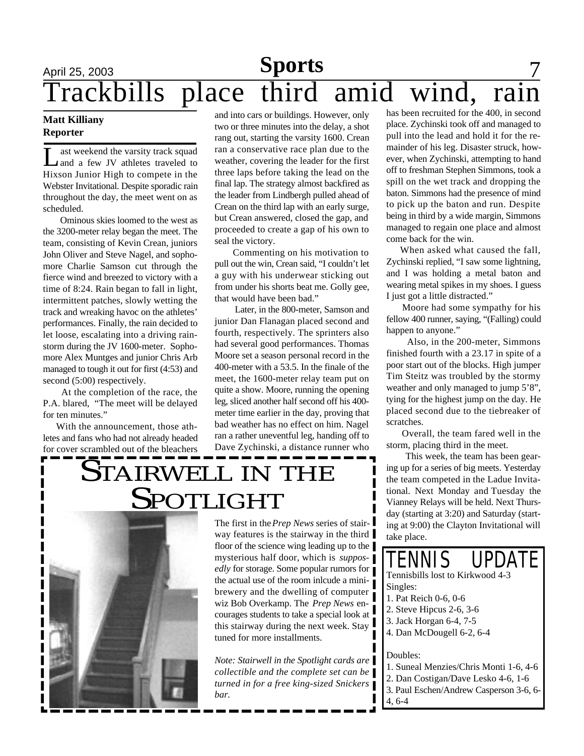### April 25, 2003 **News** 7 Trackbills place third amid wind, rain **Sports**

### **Matt Killiany Reporter**

Let a few JV athletes traveled to ast weekend the varsity track squad Hixson Junior High to compete in the Webster Invitational. Despite sporadic rain throughout the day, the meet went on as scheduled.

Ominous skies loomed to the west as the 3200-meter relay began the meet. The team, consisting of Kevin Crean, juniors John Oliver and Steve Nagel, and sophomore Charlie Samson cut through the fierce wind and breezed to victory with a time of 8:24. Rain began to fall in light, intermittent patches, slowly wetting the track and wreaking havoc on the athletes' performances. Finally, the rain decided to let loose, escalating into a driving rainstorm during the JV 1600-meter. Sophomore Alex Muntges and junior Chris Arb managed to tough it out for first (4:53) and second (5:00) respectively.

 At the completion of the race, the P.A. blared, "The meet will be delayed for ten minutes."

 With the announcement, those athletes and fans who had not already headed for cover scrambled out of the bleachers

and into cars or buildings. However, only two or three minutes into the delay, a shot rang out, starting the varsity 1600. Crean ran a conservative race plan due to the weather, covering the leader for the first three laps before taking the lead on the final lap. The strategy almost backfired as the leader from Lindbergh pulled ahead of Crean on the third lap with an early surge, but Crean answered, closed the gap, and proceeded to create a gap of his own to seal the victory.

 Commenting on his motivation to pull out the win, Crean said, "I couldn't let a guy with his underwear sticking out from under his shorts beat me. Golly gee, that would have been bad."

 Later, in the 800-meter, Samson and junior Dan Flanagan placed second and fourth, respectively. The sprinters also had several good performances. Thomas Moore set a season personal record in the 400-meter with a 53.5. In the finale of the meet, the 1600-meter relay team put on quite a show. Moore, running the opening leg, sliced another half second off his 400 meter time earlier in the day, proving that bad weather has no effect on him. Nagel ran a rather uneventful leg, handing off to Dave Zychinski, a distance runner who

has been recruited for the 400, in second place. Zychinski took off and managed to pull into the lead and hold it for the remainder of his leg. Disaster struck, however, when Zychinski, attempting to hand off to freshman Stephen Simmons, took a spill on the wet track and dropping the baton. Simmons had the presence of mind to pick up the baton and run. Despite being in third by a wide margin, Simmons managed to regain one place and almost come back for the win.

 When asked what caused the fall, Zychinski replied, "I saw some lightning, and I was holding a metal baton and wearing metal spikes in my shoes. I guess I just got a little distracted."

 Moore had some sympathy for his fellow 400 runner, saying, "(Falling) could happen to anyone."

 Also, in the 200-meter, Simmons finished fourth with a 23.17 in spite of a poor start out of the blocks. High jumper Tim Steitz was troubled by the stormy weather and only managed to jump 5'8", tying for the highest jump on the day. He placed second due to the tiebreaker of scratches.

 Overall, the team fared well in the storm, placing third in the meet.

 This week, the team has been gearing up for a series of big meets. Yesterday the team competed in the Ladue Invitational. Next Monday and Tuesday the Vianney Relays will be held. Next Thursday (starting at 3:20) and Saturday (starting at 9:00) the Clayton Invitational will take place.

## STAIRWELL IN THE **SPOTLIGHT**



The first in the *Prep News* series of stairway features is the stairway in the third floor of the science wing leading up to the mysterious half door, which is *supposedly* for storage. Some popular rumors for the actual use of the room inlcude a minibrewery and the dwelling of computer wiz Bob Overkamp. The *Prep News* encourages students to take a special look at this stairway during the next week. Stay tuned for more installments.

*Note: Stairwell in the Spotlight cards are collectible and the complete set can be turned in for a free king-sized Snickers bar.*

Tennisbills lost to Kirkwood 4-3 Singles: TENNIS UPDATE

- 1. Pat Reich 0-6, 0-6
- 2. Steve Hipcus 2-6, 3-6
- 3. Jack Horgan 6-4, 7-5
- 4. Dan McDougell 6-2, 6-4

Doubles:

- 1. Suneal Menzies/Chris Monti 1-6, 4-6
- 2. Dan Costigan/Dave Lesko 4-6, 1-6
- 3. Paul Eschen/Andrew Casperson 3-6, 6-
- 4, 6-4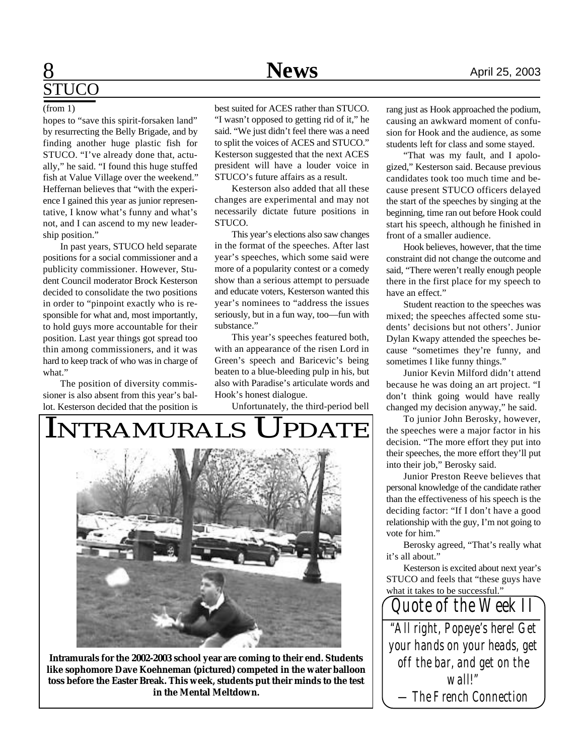## **8** April 25, 2003 STUCO

hopes to "save this spirit-forsaken land" by resurrecting the Belly Brigade, and by finding another huge plastic fish for STUCO. "I've already done that, actually," he said. "I found this huge stuffed fish at Value Village over the weekend." Heffernan believes that "with the experience I gained this year as junior representative, I know what's funny and what's not, and I can ascend to my new leadership position."

In past years, STUCO held separate positions for a social commissioner and a publicity commissioner. However, Student Council moderator Brock Kesterson decided to consolidate the two positions in order to "pinpoint exactly who is responsible for what and, most importantly, to hold guys more accountable for their position. Last year things got spread too thin among commissioners, and it was hard to keep track of who was in charge of what."

The position of diversity commissioner is also absent from this year's ballot. Kesterson decided that the position is

(from 1) best suited for ACES rather than STUCO. "I wasn't opposed to getting rid of it," he said. "We just didn't feel there was a need to split the voices of ACES and STUCO." Kesterson suggested that the next ACES president will have a louder voice in STUCO's future affairs as a result.

> Kesterson also added that all these changes are experimental and may not necessarily dictate future positions in STUCO.

> This year's elections also saw changes in the format of the speeches. After last year's speeches, which some said were more of a popularity contest or a comedy show than a serious attempt to persuade and educate voters, Kesterson wanted this year's nominees to "address the issues seriously, but in a fun way, too—fun with substance."

> This year's speeches featured both, with an appearance of the risen Lord in Green's speech and Baricevic's being beaten to a blue-bleeding pulp in his, but also with Paradise's articulate words and Hook's honest dialogue.

Unfortunately, the third-period bell



**Intramurals for the 2002-2003 school year are coming to their end. Students like sophomore Dave Koehneman (pictured) competed in the water balloon toss before the Easter Break. This week, students put their minds to the test in the Mental Meltdown.**

rang just as Hook approached the podium, causing an awkward moment of confusion for Hook and the audience, as some students left for class and some stayed.

"That was my fault, and I apologized," Kesterson said. Because previous candidates took too much time and because present STUCO officers delayed the start of the speeches by singing at the beginning, time ran out before Hook could start his speech, although he finished in front of a smaller audience.

Hook believes, however, that the time constraint did not change the outcome and said, "There weren't really enough people there in the first place for my speech to have an effect."

Student reaction to the speeches was mixed; the speeches affected some students' decisions but not others'. Junior Dylan Kwapy attended the speeches because "sometimes they're funny, and sometimes I like funny things."

Junior Kevin Milford didn't attend because he was doing an art project. "I don't think going would have really changed my decision anyway," he said.

To junior John Berosky, however, the speeches were a major factor in his decision. "The more effort they put into their speeches, the more effort they'll put into their job," Berosky said.

Junior Preston Reeve believes that personal knowledge of the candidate rather than the effectiveness of his speech is the deciding factor: "If I don't have a good relationship with the guy, I'm not going to vote for him."

Berosky agreed, "That's really what it's all about."

Kesterson is excited about next year's STUCO and feels that "these guys have what it takes to be successful."

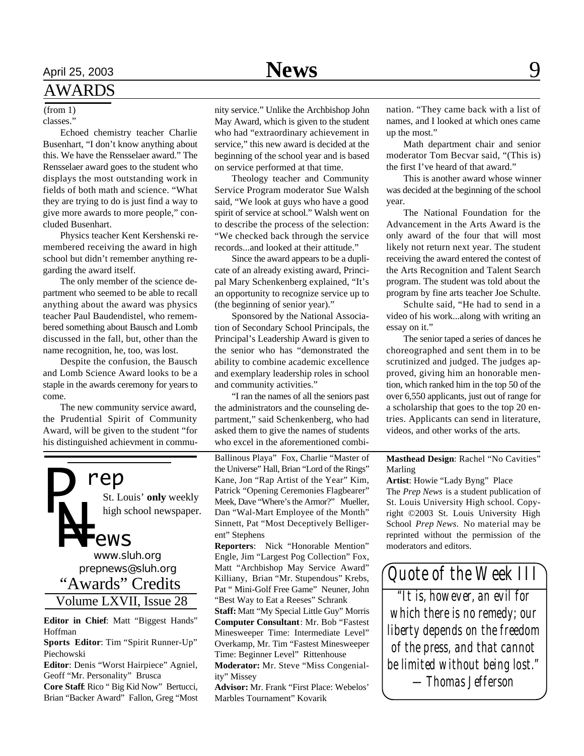### AWARDS

classes."

Echoed chemistry teacher Charlie Busenhart, "I don't know anything about this. We have the Rensselaer award." The Rensselaer award goes to the student who displays the most outstanding work in fields of both math and science. "What they are trying to do is just find a way to give more awards to more people," concluded Busenhart.

Physics teacher Kent Kershenski remembered receiving the award in high school but didn't remember anything regarding the award itself.

The only member of the science department who seemed to be able to recall anything about the award was physics teacher Paul Baudendistel, who remembered something about Bausch and Lomb discussed in the fall, but, other than the name recognition, he, too, was lost.

Despite the confusion, the Bausch and Lomb Science Award looks to be a staple in the awards ceremony for years to come.

The new community service award, the Prudential Spirit of Community Award, will be given to the student "for his distinguished achievment in commu-



**Editor in Chief**: Matt "Biggest Hands" Hoffman

**Sports Editor**: Tim "Spirit Runner-Up" Piechowski

**Editor**: Denis "Worst Hairpiece" Agniel, Geoff "Mr. Personality" Brusca

**Core Staff**: Rico " Big Kid Now" Bertucci, Brian "Backer Award" Fallon, Greg "Most

(from 1) nity service." Unlike the Archbishop John May Award, which is given to the student who had "extraordinary achievement in service," this new award is decided at the beginning of the school year and is based on service performed at that time.

> Theology teacher and Community Service Program moderator Sue Walsh said, "We look at guys who have a good spirit of service at school." Walsh went on to describe the process of the selection: "We checked back through the service records...and looked at their attitude."

> Since the award appears to be a duplicate of an already existing award, Principal Mary Schenkenberg explained, "It's an opportunity to recognize service up to (the beginning of senior year)."

> Sponsored by the National Association of Secondary School Principals, the Principal's Leadership Award is given to the senior who has "demonstrated the ability to combine academic excellence and exemplary leadership roles in school and community activities."

> "I ran the names of all the seniors past the administrators and the counseling department," said Schenkenberg, who had asked them to give the names of students who excel in the aforementioned combi-

> Ballinous Playa" Fox, Charlie "Master of the Universe" Hall, Brian "Lord of the Rings" Kane, Jon "Rap Artist of the Year" Kim, Patrick "Opening Ceremonies Flagbearer" Meek, Dave "Where's the Armor?" Mueller, Dan "Wal-Mart Employee of the Month" Sinnett, Pat "Most Deceptively Belligerent" Stephens

> **Reporters**: Nick "Honorable Mention" Engle, Jim "Largest Pog Collection" Fox, Matt "Archbishop May Service Award" Killiany, Brian "Mr. Stupendous" Krebs, Pat " Mini-Golf Free Game" Neuner, John "Best Way to Eat a Reeses" Schrank

> **Staff:** Matt "My Special Little Guy" Morris **Computer Consultant**: Mr. Bob "Fastest Minesweeper Time: Intermediate Level" Overkamp, Mr. Tim "Fastest Minesweeper Time: Beginner Level" Rittenhouse **Moderator:** Mr. Steve "Miss Congenial-

ity" Missey

**Advisor:** Mr. Frank "First Place: Webelos' Marbles Tournament" Kovarik

nation. "They came back with a list of names, and I looked at which ones came up the most."

Math department chair and senior moderator Tom Becvar said, "(This is) the first I've heard of that award."

This is another award whose winner was decided at the beginning of the school year.

The National Foundation for the Advancement in the Arts Award is the only award of the four that will most likely not return next year. The student receiving the award entered the contest of the Arts Recognition and Talent Search program. The student was told about the program by fine arts teacher Joe Schulte.

Schulte said, "He had to send in a video of his work...along with writing an essay on it."

The senior taped a series of dances he choreographed and sent them in to be scrutinized and judged. The judges approved, giving him an honorable mention, which ranked him in the top 50 of the over 6,550 applicants, just out of range for a scholarship that goes to the top 20 entries. Applicants can send in literature, videos, and other works of the arts.

### **Masthead Design**: Rachel "No Cavities" Marling

**Artist**: Howie "Lady Byng" Place The *Prep News* is a student publication of St. Louis University High school. Copyright ©2003 St. Louis University High School *Prep News.* No material may be reprinted without the permission of the moderators and editors.

*Quote of the Week III*

*"It is, however, an evil for which there is no remedy; our liberty depends on the freedom of the press, and that cannot be limited without being lost." —Thomas Jefferson*